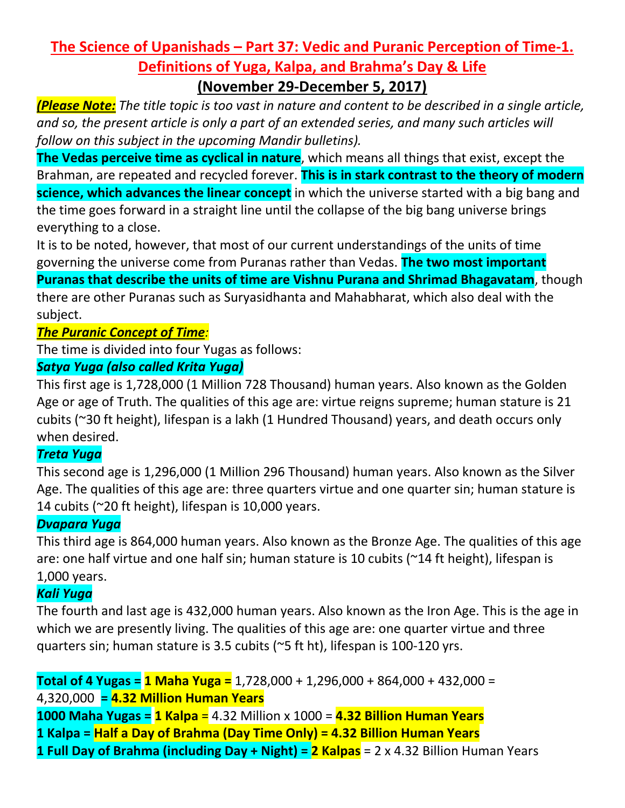# **The Science of Upanishads – Part 37: Vedic and Puranic Perception of Time-1. Definitions of Yuga, Kalpa, and Brahma's Day & Life (November 29-December 5, 2017)**

*(Please Note: The title topic is too vast in nature and content to be described in a single article, and so, the present article is only a part of an extended series, and many such articles will follow on this subject in the upcoming Mandir bulletins).*

**The Vedas perceive time as cyclical in nature**, which means all things that exist, except the Brahman, are repeated and recycled forever. **This is in stark contrast to the theory of modern science, which advances the linear concept** in which the universe started with a big bang and the time goes forward in a straight line until the collapse of the big bang universe brings everything to a close.

It is to be noted, however, that most of our current understandings of the units of time governing the universe come from Puranas rather than Vedas. **The two most important** 

**Puranas that describe the units of time are Vishnu Purana and Shrimad Bhagavatam**, though there are other Puranas such as Suryasidhanta and Mahabharat, which also deal with the subject.

## *The Puranic Concept of Time:*

The time is divided into four Yugas as follows:

#### *Satya Yuga (also called Krita Yuga)*

This first age is 1,728,000 (1 Million 728 Thousand) human years. Also known as the Golden Age or age of Truth. The qualities of this age are: virtue reigns supreme; human stature is 21 cubits (~30 ft height), lifespan is a lakh (1 Hundred Thousand) years, and death occurs only when desired.

### *Treta Yuga*

This second age is 1,296,000 (1 Million 296 Thousand) human years. Also known as the Silver Age. The qualities of this age are: three quarters virtue and one quarter sin; human stature is 14 cubits (~20 ft height), lifespan is 10,000 years.

### *Dvapara Yuga*

This third age is 864,000 human years. Also known as the Bronze Age. The qualities of this age are: one half virtue and one half sin; human stature is 10 cubits (~14 ft height), lifespan is 1,000 years.

### *Kali Yuga*

The fourth and last age is 432,000 human years. Also known as the Iron Age. This is the age in which we are presently living. The qualities of this age are: one quarter virtue and three quarters sin; human stature is 3.5 cubits (~5 ft ht), lifespan is 100-120 yrs.

**Total of 4 Yugas = 1 Maha Yuga =** 1,728,000 + 1,296,000 + 864,000 + 432,000 = 4,320,000 **= 4.32 Million Human Years 1000 Maha Yugas = 1 Kalpa** = 4.32 Million x 1000 = **4.32 Billion Human Years 1 Kalpa = Half a Day of Brahma (Day Time Only) = 4.32 Billion Human Years 1 Full Day of Brahma (including Day + Night) = 2 Kalpas** = 2 x 4.32 Billion Human Years